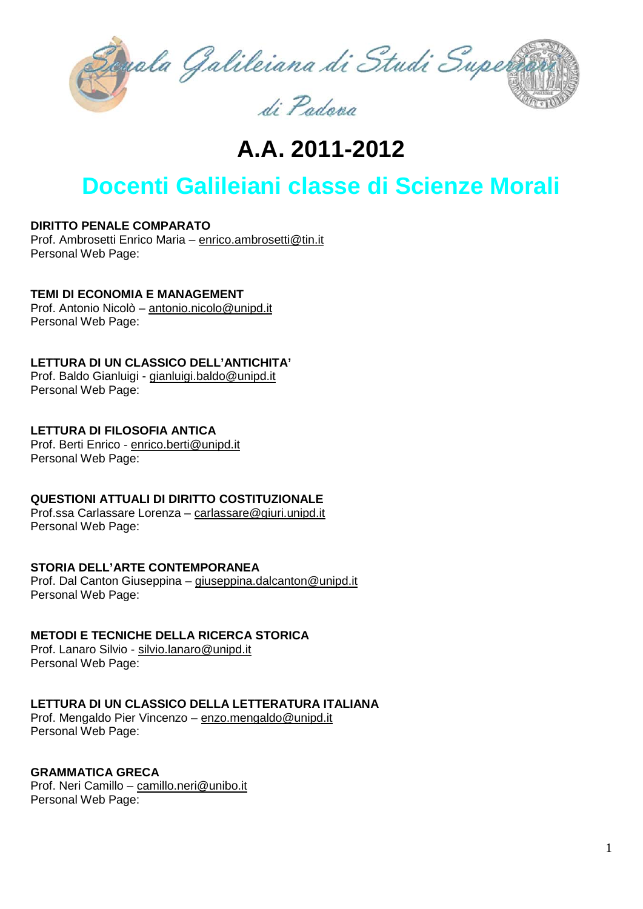

**A.A. 2011-2012**

# **Docenti Galileiani classe di Scienze Morali**

**DIRITTO PENALE COMPARATO**

Prof. Ambrosetti Enrico Maria – [enrico.ambrosetti@tin.it](mailto:enrico.ambrosetti@tin.it) Personal Web Page:

**TEMI DI ECONOMIA E MANAGEMENT**

Prof. Antonio Nicolò – [antonio.nicolo@unipd.it](mailto:antonio.nicolo@unipd.it) Personal Web Page:

**LETTURA DI UN CLASSICO DELL'ANTICHITA'**

Prof. Baldo Gianluigi - [gianluigi.baldo@unipd.it](mailto:gianluigi.baldo@unipd.it) Personal Web Page:

**LETTURA DI FILOSOFIA ANTICA** Prof. Berti Enrico - [enrico.berti@unipd.it](mailto:enrico.berti@unipd.it) Personal Web Page:

**QUESTIONI ATTUALI DI DIRITTO COSTITUZIONALE**

Prof.ssa Carlassare Lorenza – [carlassare@giuri.unipd.it](mailto:carlassare@giuri.unipd.it) Personal Web Page:

# **STORIA DELL'ARTE CONTEMPORANEA**

Prof. Dal Canton Giuseppina – [giuseppina.dalcanton@unipd.it](mailto:giuseppina.dalcanton@unipd.it) Personal Web Page:

# **METODI E TECNICHE DELLA RICERCA STORICA**

Prof. Lanaro Silvio - [silvio.lanaro@unipd.it](mailto:silvio.lanaro@unipd.it) Personal Web Page:

#### **LETTURA DI UN CLASSICO DELLA LETTERATURA ITALIANA**

Prof. Mengaldo Pier Vincenzo – [enzo.mengaldo@unipd.it](mailto:enzo.mengaldo@unipd.it) Personal Web Page:

# **GRAMMATICA GRECA**

Prof. Neri Camillo – [camillo.neri@unibo.it](mailto:camillo.neri@unibo.it) Personal Web Page: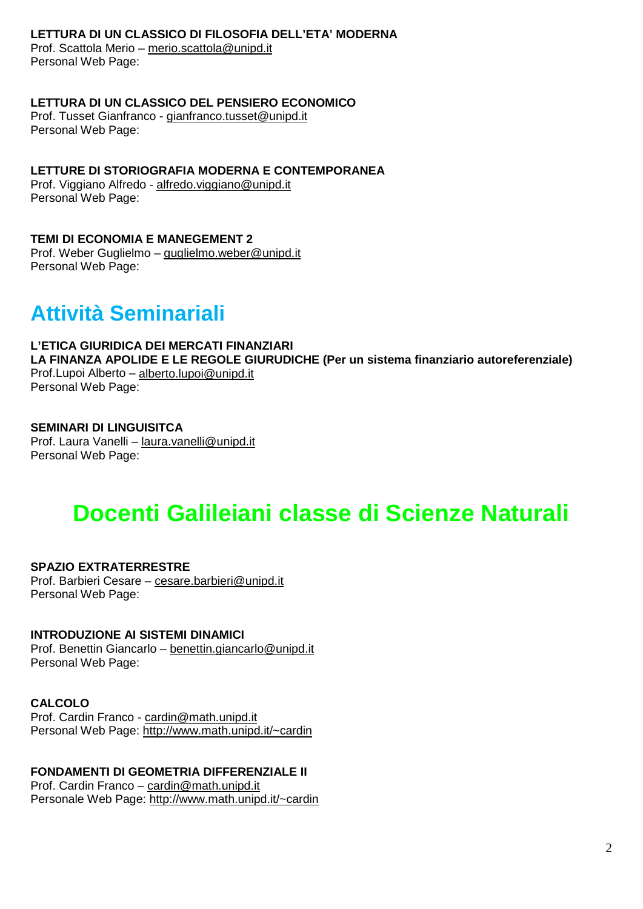### **LETTURA DI UN CLASSICO DI FILOSOFIA DELL'ETA' MODERNA**

Prof. Scattola Merio – [merio.scattola@unipd.it](mailto:merio.scattola@unipd.it) Personal Web Page:

#### **LETTURA DI UN CLASSICO DEL PENSIERO ECONOMICO**

Prof. Tusset Gianfranco - [gianfranco.tusset@unipd.it](mailto:gianfranco.tusset@unipd.it) Personal Web Page:

# **LETTURE DI STORIOGRAFIA MODERNA E CONTEMPORANEA**

Prof. Viggiano Alfredo - [alfredo.viggiano@unipd.it](mailto:alfredo.viggiano@unipd.it) Personal Web Page:

#### **TEMI DI ECONOMIA E MANEGEMENT 2**

Prof. Weber Guglielmo – [guglielmo.weber@unipd.it](mailto:guglielmo.weber@unipd.it) Personal Web Page:

# **Attività Seminariali**

### **L'ETICA GIURIDICA DEI MERCATI FINANZIARI**

**LA FINANZA APOLIDE E LE REGOLE GIURUDICHE (Per un sistema finanziario autoreferenziale)** Prof.Lupoi Alberto – [alberto.lupoi@unipd.it](mailto:alberto.lupoi@unipd.it)

Personal Web Page:

#### **SEMINARI DI LINGUISITCA**

Prof. Laura Vanelli – [laura.vanelli@unipd.it](mailto:laura.vanelli@unipd.it) Personal Web Page:

# **Docenti Galileiani classe di Scienze Naturali**

# **SPAZIO EXTRATERRESTRE**

Prof. Barbieri Cesare – [cesare.barbieri@unipd.it](mailto:cesare.barbieri@unipd.it) Personal Web Page:

#### **INTRODUZIONE AI SISTEMI DINAMICI**

Prof. Benettin Giancarlo – [benettin.giancarlo@unipd.it](mailto:benettin.giancarlo@unipd.it) Personal Web Page:

# **CALCOLO**

Prof. Cardin Franco - [cardin@math.unipd.it](mailto:cardin@math.unipd.it) Personal Web Page:<http://www.math.unipd.it/~cardin>

# **FONDAMENTI DI GEOMETRIA DIFFERENZIALE II**

Prof. Cardin Franco – [cardin@math.unipd.it](mailto:cardin@math.unipd.it) Personale Web Page: <http://www.math.unipd.it/~cardin>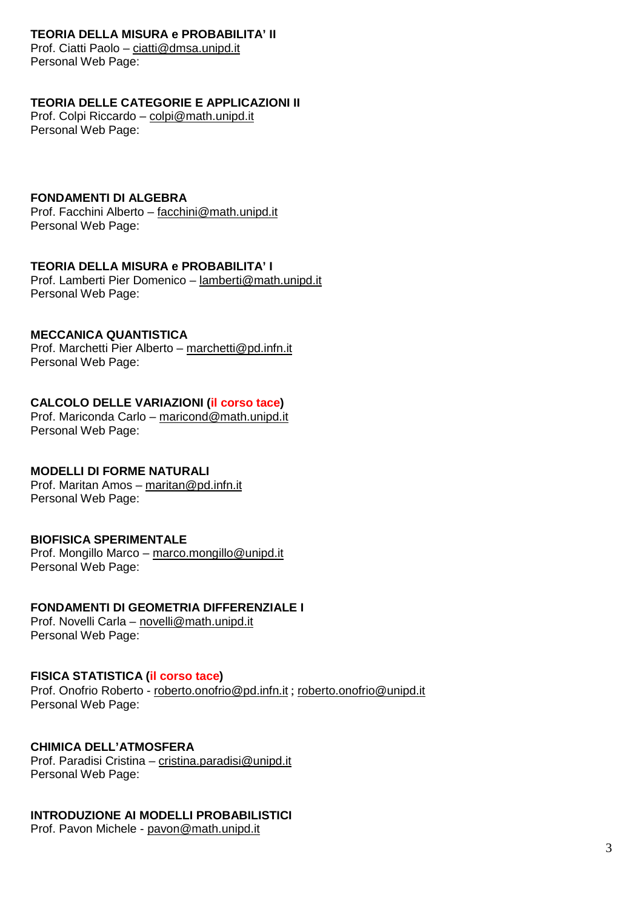# **TEORIA DELLA MISURA e PROBABILITA' II**

Prof. Ciatti Paolo – [ciatti@dmsa.unipd.it](mailto:ciatti@dmsa.unipd.it) Personal Web Page:

# **TEORIA DELLE CATEGORIE E APPLICAZIONI II**

Prof. Colpi Riccardo – [colpi@math.unipd.it](mailto:colpi@math.unipd.it) Personal Web Page:

# **FONDAMENTI DI ALGEBRA**

Prof. Facchini Alberto – [facchini@math.unipd.it](mailto:facchini@math.unipd.it) Personal Web Page:

# **TEORIA DELLA MISURA e PROBABILITA' I**

Prof. Lamberti Pier Domenico – [lamberti@math.unipd.it](mailto:lamberti@math.unipd.it) Personal Web Page:

# **MECCANICA QUANTISTICA**

Prof. Marchetti Pier Alberto – [marchetti@pd.infn.it](mailto:marchetti@pd.infn.it) Personal Web Page:

# **CALCOLO DELLE VARIAZIONI (il corso tace)**

Prof. Mariconda Carlo – [maricond@math.unipd.it](mailto:maricond@math.unipd.it) Personal Web Page:

# **MODELLI DI FORME NATURALI**

Prof. Maritan Amos – [maritan@pd.infn.it](mailto:maritan@pd.infn.it) Personal Web Page:

# **BIOFISICA SPERIMENTALE**

Prof. Mongillo Marco – [marco.mongillo@unipd.it](mailto:marco.mongillo@unipd.it) Personal Web Page:

# **FONDAMENTI DI GEOMETRIA DIFFERENZIALE I**

Prof. Novelli Carla – [novelli@math.unipd.it](mailto:novelli@math.unipd.it) Personal Web Page:

# **FISICA STATISTICA (il corso tace)**

Prof. Onofrio Roberto - [roberto.onofrio@pd.infn.it](mailto:roberto.onofrio@pd.infn.it) ; [roberto.onofrio@unipd.it](mailto:roberto.onofrio@unipd.it) Personal Web Page:

# **CHIMICA DELL'ATMOSFERA**

Prof. Paradisi Cristina – [cristina.paradisi@unipd.it](mailto:cristina.paradisi@unipd.it) Personal Web Page:

# **INTRODUZIONE AI MODELLI PROBABILISTICI**

Prof. Pavon Michele - [pavon@math.unipd.it](mailto:pavon@math.unipd.it)